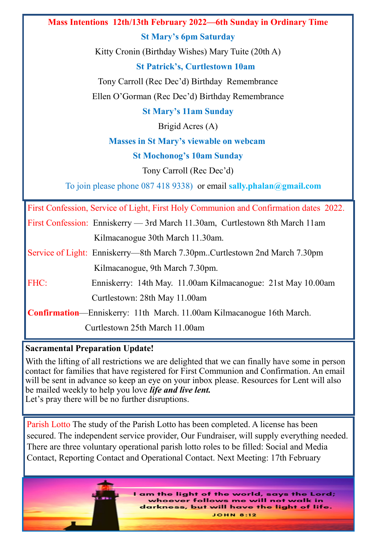## **Mass Intentions 12th/13th February 2022—6th Sunday in Ordinary Time**

**St Mary's 6pm Saturday**

Kitty Cronin (Birthday Wishes) Mary Tuite (20th A)

## **St Patrick's, Curtlestown 10am**

Tony Carroll (Rec Dec'd) Birthday Remembrance Ellen O'Gorman (Rec Dec'd) Birthday Remembrance

**St Mary's 11am Sunday**

Brigid Acres (A)

## **Masses in St Mary's viewable on webcam**

**St Mochonog's 10am Sunday**

Tony Carroll (Rec Dec'd)

To join please phone 087 418 9338) or email **sally.phalan@gmail.com**

First Confession, Service of Light, First Holy Communion and Confirmation dates 2022.

| First Confession: Enniskerry — 3rd March 11.30am, Curtlestown 8th March 11am |  |
|------------------------------------------------------------------------------|--|
| Kilmacanogue 30th March 11.30am.                                             |  |

- Service of Light: Enniskerry—8th March 7.30pm..Curtlestown 2nd March 7.30pm Kilmacanogue, 9th March 7.30pm.
- FHC: Enniskerry: 14th May. 11.00am Kilmacanogue: 21st May 10.00am Curtlestown: 28th May 11.00am

**Confirmation**—Enniskerry: 11th March. 11.00am Kilmacanogue 16th March.

Curtlestown 25th March 11.00am

## **Sacramental Preparation Update!**

With the lifting of all restrictions we are delighted that we can finally have some in person contact for families that have registered for First Communion and Confirmation. An email will be sent in advance so keep an eye on your inbox please. Resources for Lent will also be mailed weekly to help you love *life and live lent.* Let's pray there will be no further disruptions.

Parish Lotto The study of the Parish Lotto has been completed. A license has been secured. The independent service provider, Our Fundraiser, will supply everything needed. There are three voluntary operational parish lotto roles to be filled: Social and Media Contact, Reporting Contact and Operational Contact. Next Meeting: 17th February